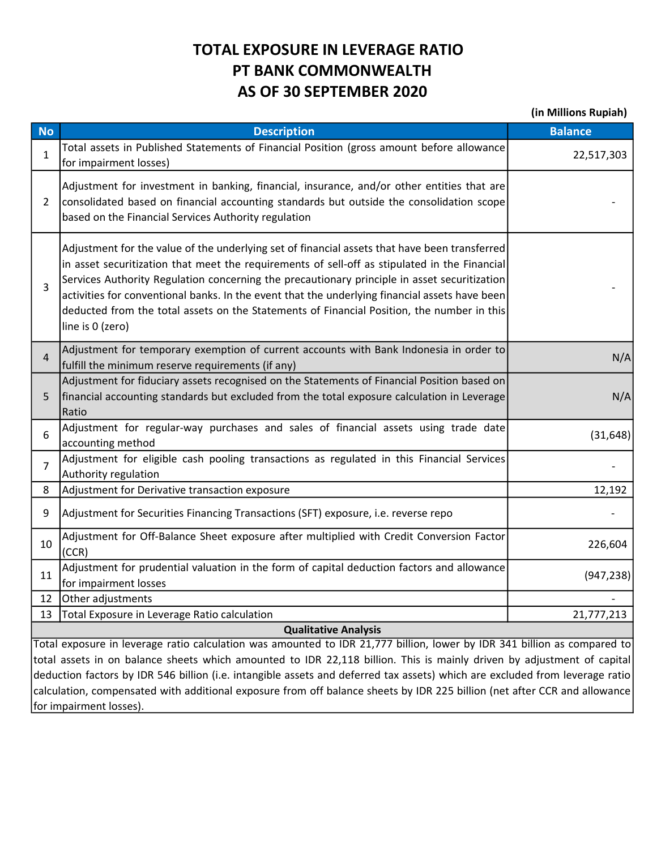## TOTAL EXPOSURE IN LEVERAGE RATIO PT BANK COMMONWEALTH AS OF 30 SEPTEMBER 2020

(in Millions Rupiah)

| <b>No</b>                                                                                                                                                                                                                                              | <b>Description</b>                                                                                                                                                                                                                                                                                                                                                                                                                                                                                                 | <b>Balance</b> |  |  |  |  |
|--------------------------------------------------------------------------------------------------------------------------------------------------------------------------------------------------------------------------------------------------------|--------------------------------------------------------------------------------------------------------------------------------------------------------------------------------------------------------------------------------------------------------------------------------------------------------------------------------------------------------------------------------------------------------------------------------------------------------------------------------------------------------------------|----------------|--|--|--|--|
| 1                                                                                                                                                                                                                                                      | Total assets in Published Statements of Financial Position (gross amount before allowance<br>for impairment losses)                                                                                                                                                                                                                                                                                                                                                                                                | 22,517,303     |  |  |  |  |
| $\overline{2}$                                                                                                                                                                                                                                         | Adjustment for investment in banking, financial, insurance, and/or other entities that are<br>consolidated based on financial accounting standards but outside the consolidation scope<br>based on the Financial Services Authority regulation                                                                                                                                                                                                                                                                     |                |  |  |  |  |
| 3                                                                                                                                                                                                                                                      | Adjustment for the value of the underlying set of financial assets that have been transferred<br>in asset securitization that meet the requirements of sell-off as stipulated in the Financial<br>Services Authority Regulation concerning the precautionary principle in asset securitization<br>activities for conventional banks. In the event that the underlying financial assets have been<br>deducted from the total assets on the Statements of Financial Position, the number in this<br>line is 0 (zero) |                |  |  |  |  |
| $\overline{4}$                                                                                                                                                                                                                                         | Adjustment for temporary exemption of current accounts with Bank Indonesia in order to<br>fulfill the minimum reserve requirements (if any)                                                                                                                                                                                                                                                                                                                                                                        | N/A            |  |  |  |  |
| 5.                                                                                                                                                                                                                                                     | Adjustment for fiduciary assets recognised on the Statements of Financial Position based on<br>financial accounting standards but excluded from the total exposure calculation in Leverage<br>Ratio                                                                                                                                                                                                                                                                                                                | N/A            |  |  |  |  |
| 6                                                                                                                                                                                                                                                      | Adjustment for regular-way purchases and sales of financial assets using trade date<br>accounting method                                                                                                                                                                                                                                                                                                                                                                                                           | (31, 648)      |  |  |  |  |
| $\overline{7}$                                                                                                                                                                                                                                         | Adjustment for eligible cash pooling transactions as regulated in this Financial Services<br>Authority regulation                                                                                                                                                                                                                                                                                                                                                                                                  |                |  |  |  |  |
| 8                                                                                                                                                                                                                                                      | Adjustment for Derivative transaction exposure                                                                                                                                                                                                                                                                                                                                                                                                                                                                     | 12,192         |  |  |  |  |
| 9                                                                                                                                                                                                                                                      | Adjustment for Securities Financing Transactions (SFT) exposure, i.e. reverse repo                                                                                                                                                                                                                                                                                                                                                                                                                                 |                |  |  |  |  |
| 10                                                                                                                                                                                                                                                     | Adjustment for Off-Balance Sheet exposure after multiplied with Credit Conversion Factor<br>(CCR)                                                                                                                                                                                                                                                                                                                                                                                                                  | 226,604        |  |  |  |  |
| 11                                                                                                                                                                                                                                                     | Adjustment for prudential valuation in the form of capital deduction factors and allowance<br>for impairment losses                                                                                                                                                                                                                                                                                                                                                                                                | (947, 238)     |  |  |  |  |
| 12                                                                                                                                                                                                                                                     | Other adjustments                                                                                                                                                                                                                                                                                                                                                                                                                                                                                                  |                |  |  |  |  |
| 13                                                                                                                                                                                                                                                     | Total Exposure in Leverage Ratio calculation                                                                                                                                                                                                                                                                                                                                                                                                                                                                       | 21,777,213     |  |  |  |  |
| <b>Qualitative Analysis</b>                                                                                                                                                                                                                            |                                                                                                                                                                                                                                                                                                                                                                                                                                                                                                                    |                |  |  |  |  |
|                                                                                                                                                                                                                                                        | Total exposure in leverage ratio calculation was amounted to IDR 21,777 billion, lower by IDR 341 billion as compared to                                                                                                                                                                                                                                                                                                                                                                                           |                |  |  |  |  |
| total assets in on balance sheets which amounted to IDR 22,118 billion. This is mainly driven by adjustment of capital<br>deduction factors by IDR 546 billion (i.e. intangible assets and deferred tax assets) which are excluded from leverage ratio |                                                                                                                                                                                                                                                                                                                                                                                                                                                                                                                    |                |  |  |  |  |
| calculation, compensated with additional exposure from off balance sheets by IDR 225 billion (net after CCR and allowance)                                                                                                                             |                                                                                                                                                                                                                                                                                                                                                                                                                                                                                                                    |                |  |  |  |  |

for impairment losses).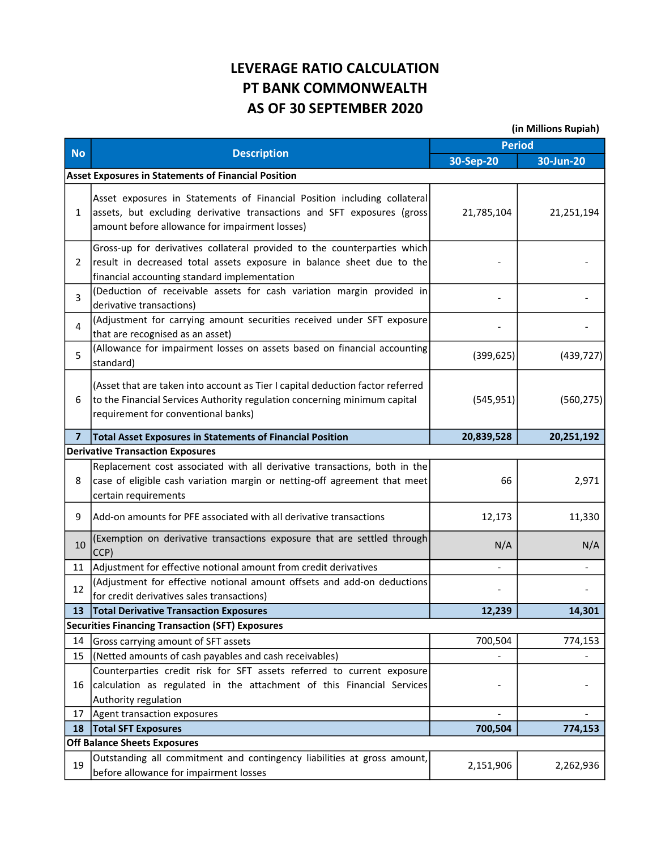## LEVERAGE RATIO CALCULATION PT BANK COMMONWEALTH AS OF 30 SEPTEMBER 2020

(in Millions Rupiah)

| <b>No</b>      | <b>Description</b>                                                                                                                                                                                   | <b>Period</b> |            |  |  |
|----------------|------------------------------------------------------------------------------------------------------------------------------------------------------------------------------------------------------|---------------|------------|--|--|
|                |                                                                                                                                                                                                      | 30-Sep-20     | 30-Jun-20  |  |  |
|                | <b>Asset Exposures in Statements of Financial Position</b>                                                                                                                                           |               |            |  |  |
| $\mathbf{1}$   | Asset exposures in Statements of Financial Position including collateral<br>assets, but excluding derivative transactions and SFT exposures (gross<br>amount before allowance for impairment losses) | 21,785,104    | 21,251,194 |  |  |
| 2              | Gross-up for derivatives collateral provided to the counterparties which<br>result in decreased total assets exposure in balance sheet due to the<br>financial accounting standard implementation    |               |            |  |  |
| $\mathsf{3}$   | (Deduction of receivable assets for cash variation margin provided in<br>derivative transactions)                                                                                                    |               |            |  |  |
| 4              | (Adjustment for carrying amount securities received under SFT exposure<br>that are recognised as an asset)                                                                                           |               |            |  |  |
| 5              | (Allowance for impairment losses on assets based on financial accounting<br>standard)                                                                                                                | (399, 625)    | (439, 727) |  |  |
| 6              | (Asset that are taken into account as Tier I capital deduction factor referred<br>to the Financial Services Authority regulation concerning minimum capital<br>requirement for conventional banks)   | (545, 951)    | (560, 275) |  |  |
| $\overline{7}$ | <b>Total Asset Exposures in Statements of Financial Position</b>                                                                                                                                     | 20,839,528    | 20,251,192 |  |  |
|                | <b>Derivative Transaction Exposures</b>                                                                                                                                                              |               |            |  |  |
| 8              | Replacement cost associated with all derivative transactions, both in the<br>case of eligible cash variation margin or netting-off agreement that meet<br>certain requirements                       | 66            | 2,971      |  |  |
| 9              | lAdd-on amounts for PFE associated with all derivative transactions                                                                                                                                  | 12,173        | 11,330     |  |  |
| 10             | (Exemption on derivative transactions exposure that are settled through<br>CCP)                                                                                                                      | N/A           | N/A        |  |  |
| 11             | Adjustment for effective notional amount from credit derivatives                                                                                                                                     |               |            |  |  |
| 12             | (Adjustment for effective notional amount offsets and add-on deductions<br>for credit derivatives sales transactions)                                                                                |               |            |  |  |
| 13             | <b>Total Derivative Transaction Exposures</b>                                                                                                                                                        | 12,239        | 14,301     |  |  |
|                | <b>Securities Financing Transaction (SFT) Exposures</b>                                                                                                                                              |               |            |  |  |
| 14             | Gross carrying amount of SFT assets                                                                                                                                                                  | 700,504       | 774,153    |  |  |
| 15             | (Netted amounts of cash payables and cash receivables)                                                                                                                                               |               |            |  |  |
|                | Counterparties credit risk for SFT assets referred to current exposure                                                                                                                               |               |            |  |  |
| 16             | calculation as regulated in the attachment of this Financial Services                                                                                                                                |               |            |  |  |
|                | Authority regulation                                                                                                                                                                                 |               |            |  |  |
| 17             | Agent transaction exposures                                                                                                                                                                          |               |            |  |  |
| 18             | <b>Total SFT Exposures</b>                                                                                                                                                                           | 700,504       | 774,153    |  |  |
|                | <b>Off Balance Sheets Exposures</b>                                                                                                                                                                  |               |            |  |  |
| 19             | Outstanding all commitment and contingency liabilities at gross amount,<br>before allowance for impairment losses                                                                                    | 2,151,906     | 2,262,936  |  |  |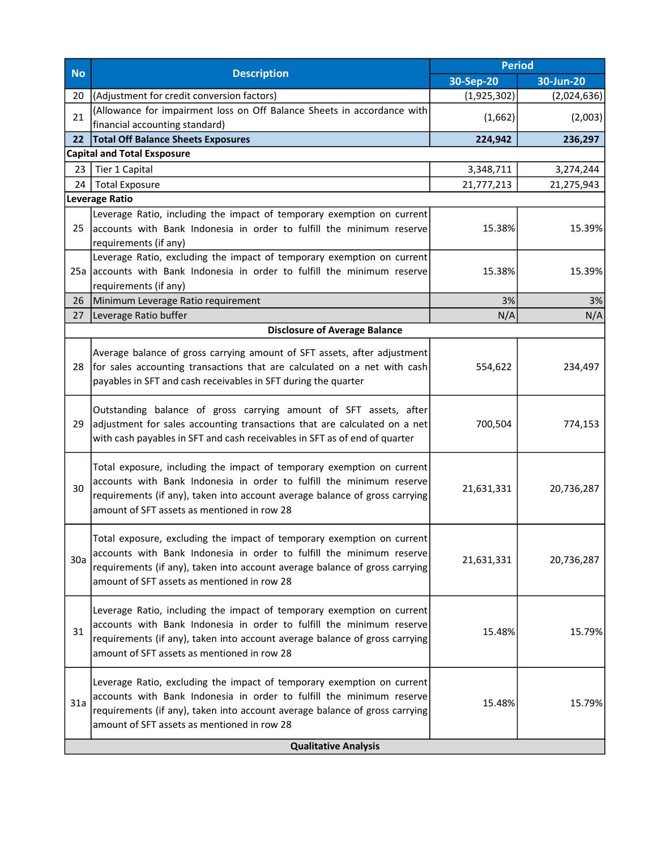|                             | <b>Description</b>                                                                                                                                                                                                                                                           | <b>Period</b> |             |  |
|-----------------------------|------------------------------------------------------------------------------------------------------------------------------------------------------------------------------------------------------------------------------------------------------------------------------|---------------|-------------|--|
| <b>No</b>                   |                                                                                                                                                                                                                                                                              | 30-Sep-20     | 30-Jun-20   |  |
| 20                          | (Adjustment for credit conversion factors)                                                                                                                                                                                                                                   | (1,925,302)   | (2,024,636) |  |
| 21                          | (Allowance for impairment loss on Off Balance Sheets in accordance with<br>financial accounting standard)                                                                                                                                                                    | (1,662)       | (2,003)     |  |
| 22                          | <b>Total Off Balance Sheets Exposures</b>                                                                                                                                                                                                                                    | 224,942       | 236,297     |  |
|                             | <b>Capital and Total Exsposure</b>                                                                                                                                                                                                                                           |               |             |  |
| 23                          | Tier 1 Capital                                                                                                                                                                                                                                                               | 3,348,711     | 3,274,244   |  |
| 24                          | <b>Total Exposure</b>                                                                                                                                                                                                                                                        | 21,777,213    | 21,275,943  |  |
|                             | Leverage Ratio                                                                                                                                                                                                                                                               |               |             |  |
| 25                          | Leverage Ratio, including the impact of temporary exemption on current<br>accounts with Bank Indonesia in order to fulfill the minimum reserve<br>requirements (if any)                                                                                                      | 15.38%        | 15.39%      |  |
|                             | Leverage Ratio, excluding the impact of temporary exemption on current<br>25a accounts with Bank Indonesia in order to fulfill the minimum reserve<br>requirements (if any)                                                                                                  | 15.38%        | 15.39%      |  |
| 26                          | Minimum Leverage Ratio requirement                                                                                                                                                                                                                                           | 3%            | 3%          |  |
| 27                          | Leverage Ratio buffer                                                                                                                                                                                                                                                        | N/A           | N/A         |  |
|                             | <b>Disclosure of Average Balance</b>                                                                                                                                                                                                                                         |               |             |  |
| 28                          | Average balance of gross carrying amount of SFT assets, after adjustment<br>for sales accounting transactions that are calculated on a net with cash<br>payables in SFT and cash receivables in SFT during the quarter                                                       | 554,622       | 234,497     |  |
| 29                          | Outstanding balance of gross carrying amount of SFT assets, after<br>adjustment for sales accounting transactions that are calculated on a net<br>with cash payables in SFT and cash receivables in SFT as of end of quarter                                                 | 700,504       | 774,153     |  |
| 30                          | Total exposure, including the impact of temporary exemption on current<br>accounts with Bank Indonesia in order to fulfill the minimum reserve<br>requirements (if any), taken into account average balance of gross carrying<br>amount of SFT assets as mentioned in row 28 | 21,631,331    | 20,736,287  |  |
| 30a                         | Total exposure, excluding the impact of temporary exemption on current<br>accounts with Bank Indonesia in order to fulfill the minimum reserve<br>requirements (if any), taken into account average balance of gross carrying<br>amount of SFT assets as mentioned in row 28 | 21,631,331    | 20,736,287  |  |
| 31                          | Leverage Ratio, including the impact of temporary exemption on current<br>accounts with Bank Indonesia in order to fulfill the minimum reserve<br>requirements (if any), taken into account average balance of gross carrying<br>amount of SFT assets as mentioned in row 28 | 15.48%        | 15.79%      |  |
| 31a                         | Leverage Ratio, excluding the impact of temporary exemption on current<br>accounts with Bank Indonesia in order to fulfill the minimum reserve<br>requirements (if any), taken into account average balance of gross carrying<br>amount of SFT assets as mentioned in row 28 | 15.48%        | 15.79%      |  |
| <b>Qualitative Analysis</b> |                                                                                                                                                                                                                                                                              |               |             |  |